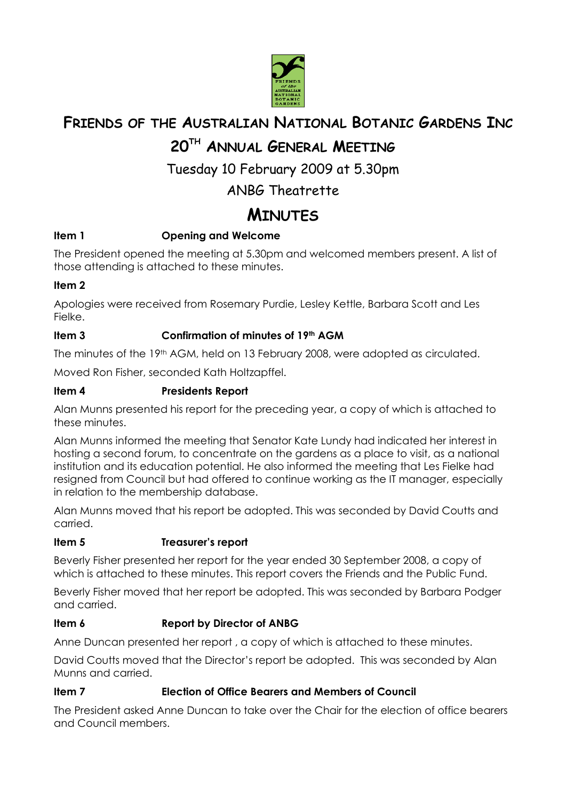

# **FRIENDS OF THE AUSTRALIAN NATIONAL BOTANIC GARDENS INC**

# **20TH ANNUAL GENERAL MEETING**

# Tuesday 10 February 2009 at 5.30pm

## ANBG Theatrette

# **MINUTES**

## **Item 1 Opening and Welcome**

The President opened the meeting at 5.30pm and welcomed members present. A list of those attending is attached to these minutes.

### **Item 2**

Apologies were received from Rosemary Purdie, Lesley Kettle, Barbara Scott and Les Fielke.

## **Item 3 Confirmation of minutes of 19th AGM**

The minutes of the 19<sup>th</sup> AGM, held on 13 February 2008, were adopted as circulated.

Moved Ron Fisher, seconded Kath Holtzapffel.

### **Item 4 Presidents Report**

Alan Munns presented his report for the preceding year, a copy of which is attached to these minutes.

Alan Munns informed the meeting that Senator Kate Lundy had indicated her interest in hosting a second forum, to concentrate on the gardens as a place to visit, as a national institution and its education potential. He also informed the meeting that Les Fielke had resigned from Council but had offered to continue working as the IT manager, especially in relation to the membership database.

Alan Munns moved that his report be adopted. This was seconded by David Coutts and carried.

### **Item 5 Treasurer's report**

Beverly Fisher presented her report for the year ended 30 September 2008, a copy of which is attached to these minutes. This report covers the Friends and the Public Fund.

Beverly Fisher moved that her report be adopted. This was seconded by Barbara Podger and carried.

### **Item 6 Report by Director of ANBG**

Anne Duncan presented her report , a copy of which is attached to these minutes.

David Coutts moved that the Director's report be adopted. This was seconded by Alan Munns and carried.

### **Item 7 Election of Office Bearers and Members of Council**

The President asked Anne Duncan to take over the Chair for the election of office bearers and Council members.